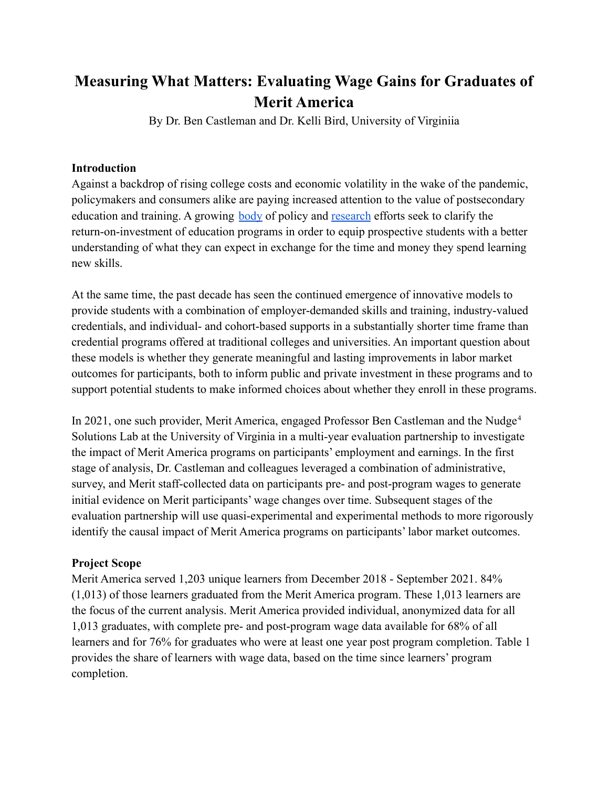# **Measuring What Matters: Evaluating Wage Gains for Graduates of Merit America**

By Dr. Ben Castleman and Dr. Kelli Bird, University of Virginiia

#### **Introduction**

Against a backdrop of rising college costs and economic volatility in the wake of the pandemic, policymakers and consumers alike are paying increased attention to the value of postsecondary education and training. A growing [body](https://www.postsecondaryvalue.org/reports/) of policy and [research](https://cew.georgetown.edu/cew-reports/lowincome/) efforts seek to clarify the return-on-investment of education programs in order to equip prospective students with a better understanding of what they can expect in exchange for the time and money they spend learning new skills.

At the same time, the past decade has seen the continued emergence of innovative models to provide students with a combination of employer-demanded skills and training, industry-valued credentials, and individual- and cohort-based supports in a substantially shorter time frame than credential programs offered at traditional colleges and universities. An important question about these models is whether they generate meaningful and lasting improvements in labor market outcomes for participants, both to inform public and private investment in these programs and to support potential students to make informed choices about whether they enroll in these programs.

In 2021, one such provider, Merit America, engaged Professor Ben Castleman and the Nudge<sup>4</sup> Solutions Lab at the University of Virginia in a multi-year evaluation partnership to investigate the impact of Merit America programs on participants' employment and earnings. In the first stage of analysis, Dr. Castleman and colleagues leveraged a combination of administrative, survey, and Merit staff-collected data on participants pre- and post-program wages to generate initial evidence on Merit participants' wage changes over time. Subsequent stages of the evaluation partnership will use quasi-experimental and experimental methods to more rigorously identify the causal impact of Merit America programs on participants' labor market outcomes.

### **Project Scope**

Merit America served 1,203 unique learners from December 2018 - September 2021. 84% (1,013) of those learners graduated from the Merit America program. These 1,013 learners are the focus of the current analysis. Merit America provided individual, anonymized data for all 1,013 graduates, with complete pre- and post-program wage data available for 68% of all learners and for 76% for graduates who were at least one year post program completion. Table 1 provides the share of learners with wage data, based on the time since learners' program completion.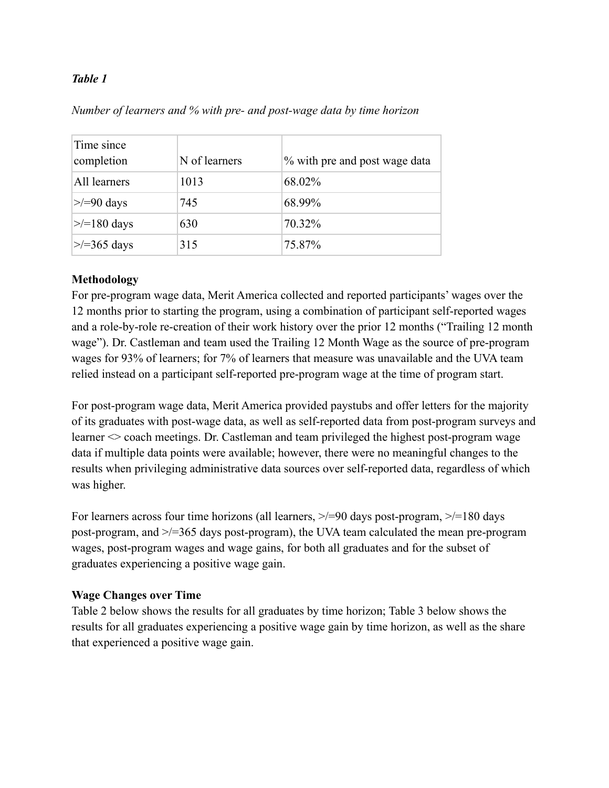#### *Table 1*

| Time since<br>completion | N of learners | % with pre and post wage data |
|--------------------------|---------------|-------------------------------|
| All learners             | 1013          | 68.02%                        |
| $\ge$ /=90 days          | 745           | 68.99%                        |
| $\ge$ = 180 days         | 630           | 70.32%                        |
| $\ge$ /=365 days         | 315           | 75.87%                        |

#### *Number of learners and % with pre- and post-wage data by time horizon*

#### **Methodology**

For pre-program wage data, Merit America collected and reported participants' wages over the 12 months prior to starting the program, using a combination of participant self-reported wages and a role-by-role re-creation of their work history over the prior 12 months ("Trailing 12 month wage"). Dr. Castleman and team used the Trailing 12 Month Wage as the source of pre-program wages for 93% of learners; for 7% of learners that measure was unavailable and the UVA team relied instead on a participant self-reported pre-program wage at the time of program start.

For post-program wage data, Merit America provided paystubs and offer letters for the majority of its graduates with post-wage data, as well as self-reported data from post-program surveys and learner  $\sim$  coach meetings. Dr. Castleman and team privileged the highest post-program wage data if multiple data points were available; however, there were no meaningful changes to the results when privileging administrative data sources over self-reported data, regardless of which was higher.

For learners across four time horizons (all learners,  $\ge$ /=90 days post-program,  $\ge$ /=180 days post-program, and >/=365 days post-program), the UVA team calculated the mean pre-program wages, post-program wages and wage gains, for both all graduates and for the subset of graduates experiencing a positive wage gain.

#### **Wage Changes over Time**

Table 2 below shows the results for all graduates by time horizon; Table 3 below shows the results for all graduates experiencing a positive wage gain by time horizon, as well as the share that experienced a positive wage gain.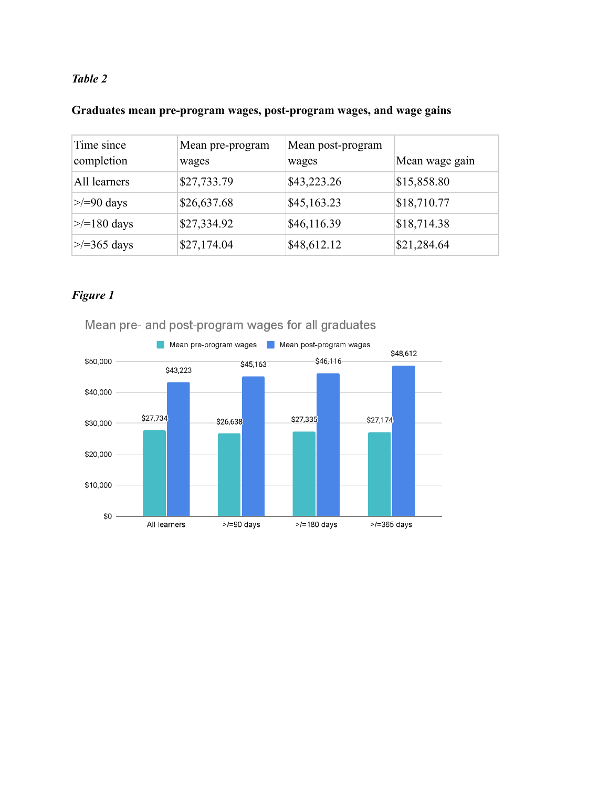# *Table 2*

#### **Graduates mean pre-program wages, post-program wages, and wage gains**

| Time since<br>completion | Mean pre-program<br>wages | Mean post-program<br>wages | Mean wage gain |
|--------------------------|---------------------------|----------------------------|----------------|
| All learners             | \$27,733.79               | \$43,223.26                | \$15,858.80    |
| $\ge$ /=90 days          | \$26,637.68               | \$45,163.23                | \$18,710.77    |
| $\ge$ /=180 days         | \$27,334.92               | \$46,116.39                | \$18,714.38    |
| $\ge$ /=365 days         | \$27,174.04               | \$48,612.12                | \$21,284.64    |

# *Figure 1*



Mean pre- and post-program wages for all graduates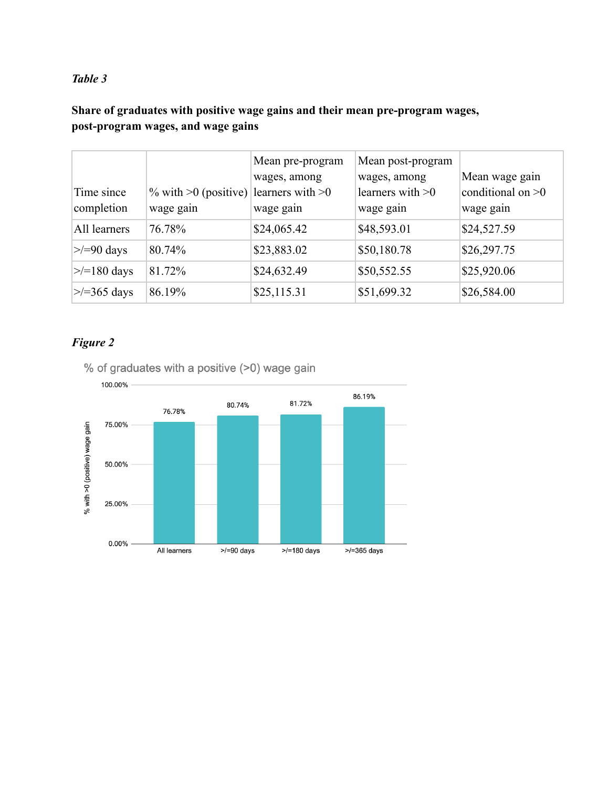# *Table 3*

**Share of graduates with positive wage gains and their mean pre-program wages, post-program wages, and wage gains**

|                  |                                                   | Mean pre-program | Mean post-program  |                     |
|------------------|---------------------------------------------------|------------------|--------------------|---------------------|
|                  |                                                   | wages, among     | wages, among       | Mean wage gain      |
| Time since       | % with $\geq 0$ (positive) learners with $\geq 0$ |                  | learners with $>0$ | conditional on $>0$ |
| completion       | wage gain                                         | wage gain        | wage gain          | wage gain           |
| All learners     | 76.78%                                            | \$24,065.42      | \$48,593.01        | \$24,527.59         |
| $\ge$ /=90 days  | 80.74%                                            | \$23,883.02      | \$50,180.78        | \$26,297.75         |
| $\ge$ /=180 days | 81.72%                                            | \$24,632.49      | \$50,552.55        | \$25,920.06         |
| $\ge$ /=365 days | 86.19%                                            | \$25,115.31      | \$51,699.32        | \$26,584.00         |

# *Figure 2*

% of graduates with a positive (>0) wage gain

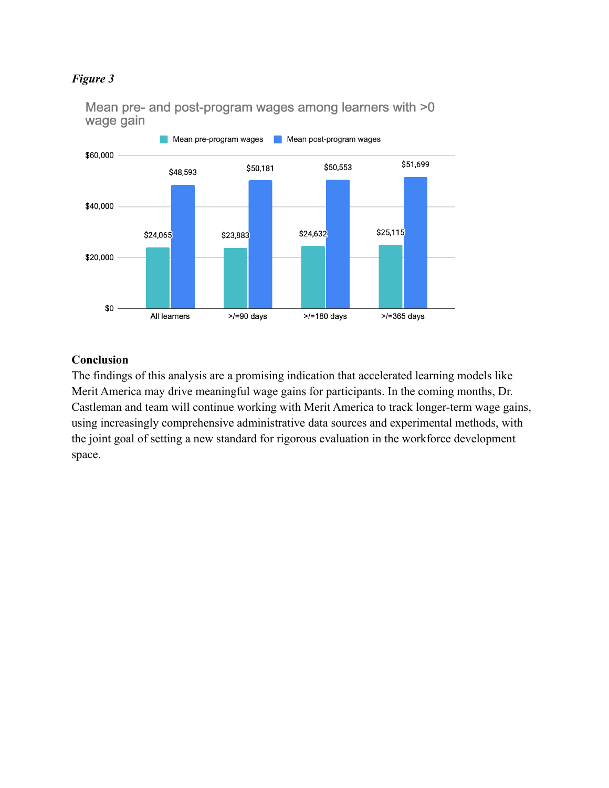#### *Figure 3*



Mean pre- and post-program wages among learners with >0 wage gain

#### **Conclusion**

The findings of this analysis are a promising indication that accelerated learning models like Merit America may drive meaningful wage gains for participants. In the coming months, Dr. Castleman and team will continue working with Merit America to track longer-term wage gains, using increasingly comprehensive administrative data sources and experimental methods, with the joint goal of setting a new standard for rigorous evaluation in the workforce development space.